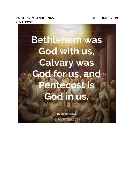# **PASTOR'S MEANDERINGS 8 – 9 JUNE 2019 PENTECOST**



**By Robert Baer** GIFQUOTES.COM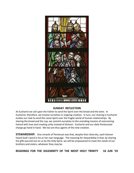

### **SUNDAY REFLECTION**

At Eucharist we call upon the Father to send the Spirit over the bread and the wine. In Eucharist, therefore, we involve ourselves in ongoing creation. In turn, our sharing in Eucharist evokes our task to send this same Spirit over the fragile world of human relationships. By sharing the bread and the cup, we commit ourselves to the unending mission of overcoming hatred with love and creating unity instead of division. Eucharist and our daily Pentecostal charge go hand in hand. We too are thus agents of the new creation.

**STEWARDSHIP:** One miracle of Pentecost was that, despite their diversity, each listener heard God's word in his or her own language. The meaning for stewardship is that, by sharing the gifts poured out on us by the Holy Spirit, we will be empowered to meet the needs of our brothers and sisters, whatever they may be.

**READINGS FOR THE SOLEMNITY OF THE MOST HOLY TRINITY 16 JUN '19**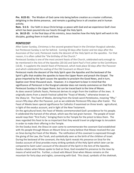**Prv. 8:22-31:** The Wisdom of God came into being before creation as a master craftsman, delighting in the divine presence, and remains a guiding force in all creation and in human activity.

**Rom. 5:1-5:** Our faith in Jesus Christ brings us peace with God and we experience God's love which has been poured into our hearts through the Holy Spirit.

**Jn. 16:12-15:** In the final days of His ministry, Jesus teaches how the Holy Spirit will work in His disciples, guiding them in truth and love.

### **PENTECOST**

After Easter Sunday, Christmas is the second-greatest feast in the Christian liturgical calendar, but Pentecost Sunday is not far behind. Coming 50 days after Easter and ten days after the Ascension of Our Lord, Pentecost marks the descent of the Holy Spirit on the apostles. For that reason, it is often called the "the birthday of the Church."

Pentecost Sunday is one of the most ancient feasts of the Church, celebrated early enough to be mentioned in the Acts of the Apostles (20:16) and Saint Paul's First Letter to the Corinthians (16:8). It supplants the Jewish feast of Pentecost, which took place 50 days after the Passover and which celebrated the sealing of the Old Covenant on Mount Sinai.

Pentecost marks the descent of the Holy Spirit upon the Apostles and the bestowal of the Spirit's gifts that enables the apostles to leave the Upper Room and preach the Gospel. The grace imparted by the Spirit causes the apostles to proclaim the Good News, and in turn, baptize over three thousand souls. However, it is important to bear in mind that the significance of Pentecost in the liturgical calendar does not merely commence on that first Pentecost Sunday in the Upper Room, but can be traced back to the time of Moses. As does several Catholic feasts, Pentecost derives its origin from the tradition of the Jews. It originally stems from a Jewish Festival called the "Feast of Weeks," otherwise known as the *Shavu'ot*. The Feast of Weeks, deriving from the Greek word *Pentekostos*, meaning "fifty," occurs fifty days after the Passover, just as we celebrate Pentecost fifty days after Easter. The Feast of Weeks bears special significance for Catholics if examined on three levels: agricultural, in light of the exodus account, and in light of the New Testament.

On the agricultural level, the Feast of Weeks commemorated God's providence for his people. It celebrated the harvest of the wheat, which was the last grain harvest. The people of Israel would reap their "first fruits," bringing them to the Temple for the priest to bless them. The Jews regarded this feast to be so important that they would travel on pilgrimage to Jerusalem in order to make their offering in the Temple.

On the Exodus level, the Shavu'ot soon came to commemorate the covenant God established with His people through Moses on Mount Sinai as many believe that Moses received the Law on Sinai during the Feast of the Weeks. The ratification of this covenant is expressed through the giving of the Law, the Torah, and symbolically seen as the birth of the children of Israel. During the bestowal of the covenant, the Holy Spirit reveals His presence on Sinai for the Exodus account of Sinai provides many striking symbols of the Holy Spirit which later can be compared to Saint Luke's account of the descent of the Spirit in the Acts of the Apostles. Exodus relates when Moses spoke to God on Sinai, God revealed his presence to the Jews by means of wind and fire. Further, a cloud veils Mount Sinai when Moses remains on the mountain for forty days and nights, conversing with God. This cloud, symbolic of the *shekinah*,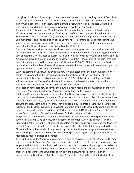the "glory cloud," which rests upon the Ark of the Covenant, is the dwelling place of God. Just as the *shekinah* manifests God's presence among his people, so too does the cloud on Sinai signify God's presence. In the New Testament, the *shekinah* will be associated with the Holy Spirit, just as the cloud on Sinai may be viewed as a symbol of the Spirit.

The events that take place on Mount Sinai further hint of the sending of the Spirit. When Moses receives the commandments, Exodus speaks of wind and thunder. Pope Emeritus Benedict XVI says that there is "fire, thunder, and wind preceding the promulgation of the Ten Commandments and the conclusion of the Covenant." He continues saying that Mount Sinai was "wrapped in smoke because the Lord descended upon it in fire." Both fire and wind are present in the Upper Room and are symbols of the Holy Spirit.

Only after Moses receives the commandments and promulgates the covenant does the Spirit descend. God tells Moses to gather seventy elders of the people of Israel and bring them to the tent of meeting where Moses converses with God. Moses complies to God's command, and the "Lord came down in a cloud" and spoke to Moses. God then "took some of the spirit that was upon him and put it into the seventy elders" (Numbers 11:16-20; 24-25). Just as the Spirit descends upon the elders of Israel after Israel receives the law, so too will he descend upon the Apostles after Christ proclaims the new law.

With the coming of Christ, Jesus gives the new law and establishes the new covenant. Christ ratifies this covenant at the Last Supper during the institution of the Holy Eucharist. By proclaiming "this is my blood of the new covenant" (Mk. 14:24) at the Last Supper, Christ echoes the words of Moses after the establishment of the Mosaic covenant during the Passover: "this is the blood of the covenant" (Exodus 24:8).

The Feast of Pentecost now becomes the new Sinai for it marks the promulgation of the new covenant. Pope John Paul II in *Veritatis Splendor* reflects on this saying,

Saint John Chrysostom likewise observed that the New Law was promulgated at the descent of the Holy Spirit from heaven on the day of Pentecost, and that the Apostles "did not come down from the mountain carrying, like Moses, tablets of stone in their hands; but they came down carrying the Holy Spirit in their hearts … having become by His grace a living law, a living book." Instead of the Mosaic covenant, displayed through the giving of the law in stone, the law of the new covenant as Pope Emeritus Benedict XVI reflects in his 2011 Homily on Pentecost Sunday, is one "which the Spirit 'writes' in the hearts of all who believe in Christ."

The promulgation of the new covenant, marked by the descent of the Holy Spirit under the symbols of a strong wind and fire, truly becomes the moment when the apostles, like the judges who gathered in the tent of meeting, obtain the grace to instruct and lead the Jews. On the first Pentecost, those in the Upper Room receive the gifts of the Spirit promised to them by Christ and foretold by Isaiah. Strengthened by these gifts, the Apostles gain the courage to leave the Upper Room and boldly proclaim the Gospel. By doing so, the apostles obey Christ's mandate to make disciples of all nations.

The significance of the Shavu'ot now acquires a new dimension. Instead of celebrating the first fruits of the earth, Pentecost Sunday commemorates the first fruits in the harvest of souls. No longer are the faithful bound by Mosaic Law and required to make a pilgrimage to Jerusalem in order to offer the sacrifice of grain in the Temple. The new law of Christ demands something greater. It necessitates that we offer our lives in thanksgiving for this gift of Faith by proclaiming the Good News. For this reason, Pentecost is referred to as "the birthday of the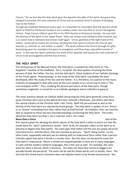Church," for on that day the Holy Spirit gave the Apostles the gifts of the Spirit, the grace they needed to proclaim the new covenant of Christ and so continue Christ's mission of bringing man to the Father.

Though we celebrate Pentecost every year, it is important to remember that the descent of the Spirit on that first Pentecost Sunday is not a solitary event, but one that re-occurs throughout history. Pope Francis reflects upon this in his 2014 Homily on Pentecost Sunday. He says that the descent of the Spirit in the Upper Room "does not remain only limited to that moment, but is an event that is renewed and renews itself again. Christ, glorified at the right hand of the Father, continued to realize His promise, sending the Holy Spirit to enliven the Church who teaches us, reminds us, and makes us speak." The Spirit enlivens the Church through His gifts, bestowing upon her members the grace to evangelize, and thus reap a bountiful harvest of souls. In this way the Spirit continues the work of the Apostles and causes the new covenant of Christ to be promulgated until the end of times.

#### **THE HOLY SPIRIT**

The third person of the Blessed Trinity, the Holy Spirit, is sometimes referred to as "the forgotten" member of the Godhead. He is, no doubt, the least spoken of among the three persons of God, the Father, the Son, and the Holy Spirit. Most students of our Catholic theology of the Trinity agree: *Pneumatology*, or the study of the Holy Spirit, is probably the least developed, after the study of the Son and the Father. It is, therefore, no surprise to find many Catholics ill-equipped to deal with some of the more notable errors concerning He who is "the Lord and giver of life." Thus, studying the person and nature of the Holy Spirit, though sometimes neglected, is crucial for us as Catholic apologists and as Catholics in general.

The most common attacks on Catholic belief concerning the Holy Spirit generally come from quasi-Christian sects such as the *Iglesia Ni Cristo*, Jehovah's Witnesses, and others who deny the central mystery of the Christian faith—the Trinity. Both the personhood as well as the divinity of the Holy Spirit are rejected by these groups. The Holy Spirit is spoken of as a "force," or as "power" emanating from God, rather than as God Himself. As Catholics, then, we must be able to respond to these two key misunderstandings concerning the Holy Spirit. The truths about the Holy Spirit are that 1. He is a person, and 2. He is God.

#### **More than a Force One of the Second Line of the Second Line Second Line Second Line Second Line Second Line Second Line Second Line Second Line Second Line Second Line Second Line Second Line Second Line Second Line Sec**

first reasons given for denying the divine nature of the Holy Spirit is often to point out that the Greek word for "spirit" (*pneuma*) is neuter. John 14:26, for example, refers to the Spirit as *to pneuma to hagion* (the Holy Spirit). The claim goes that *Father* and the *Son* are clearly personal, masculine terms, and therefore, they are revealed as persons. "Spirit" being neuter, on the other hand, supposedly indicates we are dealing with an impersonal force rather than a person. Catholics agree that *spirit* in Greek is a neuter term. But this does not necessarily mean the Holy Spirit is impersonal. Nouns in Greek are assigned gender as they are in many languages. In Latin and the modern romance languages, this is the case as well. For example, the Latin word for lance is *lancea*, which is feminine. This does not mean that lances or daggers are actually female and personal! The same can be said for Greek words such as *kardia*, heart. The fact that this Greek word is feminine does not indicate hearts to be female and personal. Nor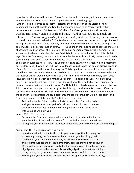does the fact that a word like *baros*, Greek for arrow, which is neuter, indicate arrows to be impersonal forces. Words are simply assigned gender in these languages.

Further, if being referred to as "spirit" indicates the third person of the Blessed Trinity is impersonal, then both angels and God the Father would have to be "forces" rather than persons as well. In John 4:24, Jesus says "God is *spirit* (Greek *pneuma*) and those who worship Him must worship in spirit and truth." And in Hebrews 1:14, angels are referred to as "ministering *spirits* (Greek *pneumata*) sent forth to serve, for the sake of those who are to obtain salvation." The key here is to examine the context and usage of a word in Scripture, rather than just its "gender," in order to determine whether we are dealing with a person, a force, or perhaps just an arrow. Speaking of the importance of context, the verse of Scripture used to "prove" the Holy Spirit to be an impersonal force actually demonstrates, when examined more fully, that the Holy Spirit is both personal and masculine. John 14:26 says: "But the Counselor, the Holy Spirit, whom the Father will send in My name, He will teach you all things, and bring to your remembrance all that I have said to you." Three key points are in evidence here. First, "the Counselor" is *ho paracleto* in Greek, which is masculine, not neuter. Second, when the text says *He* will teach you all things the demonstrative pronoun (Gr. *ekeinos*) is used in the masculine singular. This is significant because the inspired author could have used the neuter *ekeino*, but he did not. If the Holy Spirit were an impersonal force, the inspired author would not refer to it as a He. And third, notice what the Holy Spirit does. Jesus says He will both *teach* and *remind* us "all that [He has] said to [us]." Action follows being. One cannot teach and remind if one does not have the intellectual powers unique to rational persons that enable one to do so. The Holy Spirit is clearly a person. Indeed, the Holy Spirit is referred to in personal terms by our Lord throughout the New Testament. If we only consider John chapters 14, 15, and 16, the evidence is overwhelming. This is not to mention the abundance of examples we could cite throughout Scripture, both Old (in seed form) and New Testaments. Let's take John 14:16-17 to start. Jesus says;

 And I will pray the Father, and he will give you another Counselor, to be with you for ever, even the Spirit of truth, who the world cannot receive, because it neither sees him nor knows him; you know him, for he dwells with you, and will be in you.

In John 15:26-27, Jesus says;

 But when the Counselor comes, whom I shall send to you from the Father, even the Spirit of truth, who proceeds from the Father, He will bear witness to Me; and you also are witnesses, because you have been with me from the beginning.

And in John 16:7-15, Jesus makes it very plain;

 Nevertheless I tell you the truth: it is to your advantage that I go away, for if I do not go away, the Counselor will not come to you; but if I go, I will send him to you. And when he comes, he will convince the world of sin and of righteousness and of judgment; of sin, because they do not believe in Me; of righteousness, because I go to the Father, and you will see Me no more; of judgment, because the ruler of this world is judged. I have yet many things to say to you, but you cannot bear them now. When the Spirit of truth comes, He will guide you into all the truth; for He will not speak on His own authority,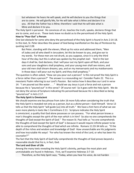but whatever He hears He will speak, and He will declare to you the things that are to come. He will glorify Me, for He will take what is Mine and declare it to you. All that the Father has is Mine; therefore I said that He will take what is Mine and declare it to you.

The Holy Spirit is personal. He convinces of sin, teaches the truth, speaks, declares things that are to come, and so on. These texts leave no doubt as to the personhood of the Holy Spirit. **How to "Pour Out" a Person**

One last obstacle for some who deny the personhood of the Holy Spirit is found in Acts 2:14-18. In this text, St. Peter describes the power of God being manifested on the day of Pentecost by quoting Joel 2:28:

 But Peter, standing with the eleven, lifted up his voice and addressed them, "Men of Judea and all who dwell in Jerusalem, let this be known to you, and give ear to my words. For these men are not drunk, as you suppose, since it is only the third hour of the day; but this is what was spoken by the prophet Joel: 'And in the last days it shall be, God declares, that I will pour out my Spirit upon all flesh, and your sons and your daughters shall prophesy, and your young men shall see visions, and your old men shall dream dreams; yea, and on my menservants and my maidservants in those days I will pour out my Spirit; and they shall prophesy.'"

The question is often asked, "How can you pour out a person? Is this not proof the Holy Spirit is a force rather than a person?" The answer is a resounding no! Consider Psalm 22. This is a messianic Psalm referring to our Lord's Passion. But notice how it describes our Lord in verse 14: "I am poured out like water . . . " Would we say Jesus is just a force and not a person because He is "poured out" in this verse? Of course not! So it goes with the Holy Spirit. We do not deny the verses of Scripture indicating His personhood because He is described as being "poured out" in Acts 2:17.

#### **The Holy Spirit is Omniscient**

We should examine one key phrase from John 16 more fully when considering the truth that the Holy Spirit is revealed not only as a person, but as a *divine person*—God Himself. Verse 13 tells us that the Holy Spirit "will guide [us] into all truth." We have a hint here of what we see even more plainly in texts like 1 Corinthians 2:11: Scripture indicates the Holy Spirit is *omniscient*, a quality that God alone possesses or can possess. "For what person knows a man's thoughts except the spirit of the man which is in him? So also no one comprehends the thoughts of God except the Spirit of God." The reason St. Paul tells us "no one comprehends the thoughts of God except the Spirit of God" is because it would require infinite power to be able to comprehend the thoughts of God which are infinite. Romans 11:33-34 tells us: "O the depth of the riches and wisdom and knowledge of God! How unsearchable are His judgments and how inscrutable His ways! 'For who has known the mind of the Lord, or who has been his counselor?'"

The fact that the Holy Spirit of God fully comprehends the thoughts of God proves beyond a reasonable doubt that his is, in fact, God.

#### **The Lord and Giver of Life**

Among the many texts revealing the Holy Spirit's divinity, perhaps the most plain and unmistakable are found in Hebrews. First, we'll examine Hebrews 3:7-10:

Therefore, as the Holy Spirit says, "Today, when you hear his voice, do not harden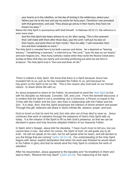your hearts as in the rebellion, on the day of testing in the wilderness, where your fathers put me to the test and saw my works for forty years. Therefore I was provoked with that generation, and said, 'They always go astray in their hearts; they have not known my ways.'"

Notice the Holy Spirit is synonymous with God Himself. In Hebrews 10:15-17, the reference is even more clear:

 And the Holy Spirit also bears witness to us; for after saying, "This is the covenant that I will make with them after those days, says the Lord: I will put my laws on their hearts, and write them on their minds," then He adds, "I will remember their sins and their misdeeds no more."

The Holy Spirit is revealed here to be both a person and divine. He is depicted as "bearing witness," "establishing a covenant," is referred to as "the Lord," "puts His laws on our hearts," and even forgives sins. How many Catholics realize when they recite the Nicene Creed every Sunday at Mass that they are clearly and concisely professing just what we see here in Scripture: The Holy Spirit truly is "the Lord and Giver of Life."

There is indeed a Holy Spirit. We know that there is a Spirit because Jesus has revealed him to us, just as he has revealed the Father to us, and because he has *given* us the Spirit to be our life. This is the reason why God took on our human nature: to share divine life with us.

As Jesus prepared to return to his Father, he promised to send the [Holy Spirit](http://www.ewtn.com/faith/teachings/spira3.htm) to live with his disciples as Advocate, Consoler, Gift, and Love. From this farewell discourse, it is evident that the Spirit is not a *something*, but a *Someone*, a Person co-equal in the Trinity with the Father and the Son, who lives in relationship with the Father and the Son. It is clear, then, that this Spirit possesses the fullness of divine wisdom and power. Through this gift, believers will share in God's infinite life, wisdom, power, and love.

God so loved us that he sent his only Son who also out of love died to save us. Jesus continues that work of salvation through the presence of God's Holy Spirit with us today. It is the mission of the Spirit to fill us with God's presence, so that we can be elevated in grace and truly become adopted children of our heavenly Father.

In Saint John's Gospel, Jesus told his disciples, "I have much more to tell you, but you cannot bear it now. But when he comes, the Spirit of truth, he will guide you to all truth. He will not speak on his own, but he will speak what he hears, and will declare to you the things that are coming" [\(John 16:12-13\)](http://usccb.org/bible/john/16). Our understanding of the Holy Spirit begins with Jesus' explicit declaration that when his work was finished he would return to his Father in glory and that he would send the Holy Spirit to continue the work of salvation.

After his resurrection, Jesus appeared to the Apostles and "he breathed on them and said to them, 'Receive the holy Spirit'" [\(John 20:22\)](http://usccb.org/bible/john/20). The outpouring of the Spirit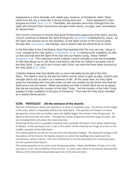happened in a more dramatic and visible way, however, at Pentecost, when "there came from the sky a noise like a strong driving wind and . . . there appeared to them tongues as of fire" [\(Acts 2:2-3\).](http://usccb.org/bible/acts/2) Thereafter, the Apostles drew their strength from the Spirit who directed their movements and gave them words, courage, zeal, and wisdom for discernment.

The Church continues to receive that great Pentecostal outpouring of the Spirit, and the Church continues to bestow the Spirit through the [sacraments](http://www.adw.org/sacraments-continuing-encounter-christ/) established by Jesus. As the Spirit was poured out on the Apostles, so the Spirit comes to the Church today through their [successors,](http://www.adw.org/titular-church/) the bishops, and is shared with the whole Body of Christ.

In the first letter to the Corinthians, Saint Paul teaches that "No one can say, 'Jesus is Lord,' except by the Holy Spirit [\(1 Corinthians 12:3\)](http://usccb.org/bible/1corinthians/12). In writing to the Galatians, he tells us that God has sent the Spirit of his Son into our hearts crying, "Abba, Father!" [\(Galatians 4:6\)](http://usccb.org/bible/galatians/4). The *Catechism of the Catholic Church* reminds us that the knowledge of faith that allows us to call Jesus Lord and to call God our Father is possible only in the Holy Spirit. If we are to be in touch with Christ, we must first have been touched by the Holy Spirit [\(CCC 683\)](http://www.vatican.va/archive/ENG0015/_P1Y.HTM).

Catholics believe that God dwells with us most intimately by the gift of the Holy Spirit. The Spirit is sent by the eternal Father and by Jesus to give us light, comfort and strength and to stir up within us a newness of life. At the same time, the Holy Spirit seals our friendship with God and unites us with one another by the divine love that the Spirit pours into our hearts. When we profess our faith in God's Spirit we do so aware that we are touching the mystery of the Holy Trinity. Yet the mystery of the Holy Trinity awaited a fuller revelation in the joys of Pentecost. Thus was the Holy Spirit revealed as a distinct divine person.

## **ICON: PENTECOST (At the entrance of the church)**

The Icon of Pentecost shows the apostles in a state of complete unity. The theme of the image is the unity, which is impossible without the Holy Spirit. The apostles are shown in inverse perspective; those who are farther away are slightly bigger than those in the foreground. No figure is identical with any other. Through the variety of gestures and the range of colors, we are reminded that unity does not erase diversity.

At the top of the icon is a partially revealed circle, symbolic of heaven, from which extend rays or flames. In this particular icon, a star in the center of the circle has an image of a dove in the middle, symbolic of the Holy Spirit.

The twelve apostles we see on the icon form the Apostolic College. The Apostolic College is the foundation of the Church, the twelve columns on which the building rests, built over the cornerstone, which is Christ. The icon of Pentecost is not the illustration of a historical event, but the symbol of the Church.

The twelve apostles sit in a semi-circle facing each other. Mary, the Mother of God, sits in the top space, in her role as Mother of the Church. In some icons, Mary is not present because the fullness of the Holy Spirit descended upon her at the Annunciation.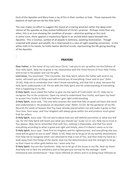Each of the Apostles and Mary have a ray of fire in their numbus or halo. These represent the baptism of each person by the Holy Spirit.

The icon makes no effort to suggest the sound of a roaring wind but rather the deep inner silence of the apostles as they waited fulfillment of Christ's promise. Perhaps more than any other, this is an icon showing the condition of prayer—attentive waiting on the Lord. In some icons, there appears a mysterious figure in an arched black space beneath the Apostles. This is Cosmos, symbol of all people in darkness, awaiting illumination. Though crowned with power and wealth, he is imprisoned in a cave of night awaiting conversion. In the white cloth in his hands, he holds twelve identical scrolls, representing the life giving teaching of the Apostles.

8

## **PRAYERS**

**Dear Father**, in the name of my Lord Jesus Christ, I ask you to stir up within me the fullness of Your Holy Spirit. Help me to grow in my relationship with the Third Person of Your Holy Trinity and to live in His power and use His gifts.

**Lord Jesus**, You promised, "The Counselor, the Holy Spirit, whom the Father will send in my name, will teach you all things and will remind you of everything I have said to you" (John 14:26). Help me to remember that I don't know everything, and that this is okay, because the Holy Spirit understands it all. Fill me with the Holy Spirit and His understanding of everything that is happening in my life.

**O Holy Spirit**, Jesus asked the Father to give me the Spirit of Truth (John 14:17). Help me to recognize You in the scriptures. Open my mind to understand Your truths, and open my heart to accept Your truths in faith even before I gain right understanding.

**O Holy Spirit**, Jesus said, "The one who receives the seed that falls on good soil hears the word and understands it. He produces an abundant crop" (Matt. 13:23). Be the gardener of my life. Nourish the seeds of heaven that You have already placed within me and make it grow so that Your love, Your ways, and Your kingdom will always grow within me and produce much good fruit for others.

**O Holy Spirit**, Jesus said, "Do not worry about how you will defend yourselves or what you will say, for the Holy Spirit will teach you what you should say" (Luke 12:11-12). Help me to trust in You always. Help me to remember that with You, nothing is impossible, and that You work everything according to what is good and right and timely, even if it doesn't seem so to me. **O Holy Spirit**, Jesus said, "Seek first his kingdom and his righteousness, and everything else you need will be given to you as well" (Matt. 6:33). Help me to let go of all my earthly attachments. First help me to recognize what I am attached to that is not of You, and then hold my hand as I walk away from the things of the world. Give me the determination and the strength to let go so that I have no other gods before me. I want only You.

**O Holy Spirit**, You are the Comforter. Help me to let go of the losses in my life. Heal my heart. And help me to face my sinfulness and to feel genuine sorrow for the damage  $\sim$  both intentional and unintentional  $\sim$  that I have inflicted on others and in so doing have inflicted on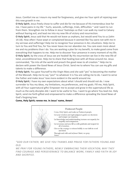Jesus. Comfort me as I mourn my need for forgiveness, and give me Your spirit of rejoicing over this new growth in me.

**O Holy Spirit**, Jesus freely chose to suffer and die for me because of His tremendous love for me. I have pains in my life  $\sim$  hurts, wounds, sufferings, trials, difficulties  $\sim$  and I want to run from them. Strengthen me to follow in Jesus' footsteps so that I can walk my road to Calvary without fearing evil, and lead me into my new life of victory and resurrection.

**O Holy Spirit**, Jesus said that He would not leave us orphans, but would send You to us (John 14:18). How often I have wept or complained because it seemed like You were not with me in my sorrows and sufferings! Help me to recognize Your presence in ALL situations. Help me to turn to You and find You, for You never leave me nor abandon me. You care even more about me and my problems than I do. You are working a plan for my benefit, to make good come from everything that happens to me. Help me to discover Your presence in every moment of my life. **O Holy Spirit**, by the cross of Jesus we are healed! By His resurrection we live in the new life of total, unconditional love. Help me to share that healing love with all those around me. Jesus commanded, "Go into all the world and preach the good news to all creation." Help me to declare with power the Good News of Jesus Christ. Send me to where You can use my gifts and talents to make a difference.

**O Holy Spirit**, You gave Yourself to the Virgin Mary and she said "yes" to becoming the mother of the Messiah. Help me to say "yes!" to whatever it is You are calling me to do. I want to serve the Father and make Jesus' love more evident in the world around me.

**O Holy Spirit**, I have my own expectations about what I should and should not do. I now surrender to You my ideas, my limitations, my preferences, and my goals. Fill me, Holy Spirit, with all Your supernatural gifts! Empower me to accept and grow in the supernatural life as much as the early disciples did. I want to be useful to You. I want to go where You lead me. Holy Spirit, send me forth gifted and empowered to make a difference spreading the Good News of God's forgiving love.

#### **Come, Holy Spirit; renew me. In Jesus' name, Amen!**



*"GOD OUR FATHER, WE GIVE YOU THANKS AND PRAISE FOR FATHERS YOUNG AND OLD.*

*WE PRAY FOR YOUNG FATHERS, NEWLY EMBRACING THEIR VOCATION; MAY THEY FIND COURAGE AND PERSEVERANCE TO BALANCE WORK, FAMILY AND FAITH IN JOY AND SACRIFICE.*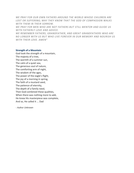*WE PRAY FOR OUR OWN FATHERS AROUND THE WORLD WHOSE CHILDREN ARE LOST OR SUFFERING; MAY THEY KNOW THAT THE GOD OF COMPASSION WALKS WITH THEM IN THEIR SORROW.*

*WE PRAY FOR MEN WHO ARE NOT FATHERS BUT STILL MENTOR AND GUIDE US WITH FATHERLY LOVE AND ADVICE.*

*WE REMEMBER FATHERS, GRANDFATHER, AND GREAT GRANDFATHERS WHO ARE NO LONGER WITH US BUT WHO LIVE FOREVER IN OUR MEMORY AND NOURISH US WITH THEIR LOVE. AMEN"*

#### **Strength of a Mountain**

God took the strength of a mountain, The majesty of a tree, The warmth of a summer sun, The calm of a quiet sea, The generous soul of nature, The comforting arm of night, The wisdom of the ages, The power of the eagle's flight, The joy of a morning in spring, The faith of a mustard seed, The patience of eternity, The depth of a family need, Then God combined these qualities, When there was nothing more to add, He knew His masterpiece was complete, And so, He called it ... Dad

*- Author Unknown*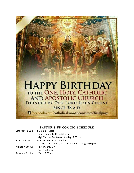

## **PASTOR'S UP-COMING SCHEDULE**

| Saturday 8 Jun | 8:30 a.m. Mass                           |  |  |                                               |
|----------------|------------------------------------------|--|--|-----------------------------------------------|
|                | Confessions $1:30 - 4:30$ p.m.           |  |  |                                               |
|                | Vigil Mass of Pentecost Sunday 5:00 p.m. |  |  |                                               |
| Sunday 9 Jun   | Masses Pentecost Sunday                  |  |  |                                               |
|                |                                          |  |  | 7:00 a.m. 8:30 a.m. 11:30 a.m. Brig 7:30 p.m. |
| Monday 10 Jun  | Pastor's Day Off                         |  |  |                                               |
|                | Brig 7:40 p.m.                           |  |  |                                               |
| Tuesday 11 Jun | Mass 8:30 a.m.                           |  |  |                                               |